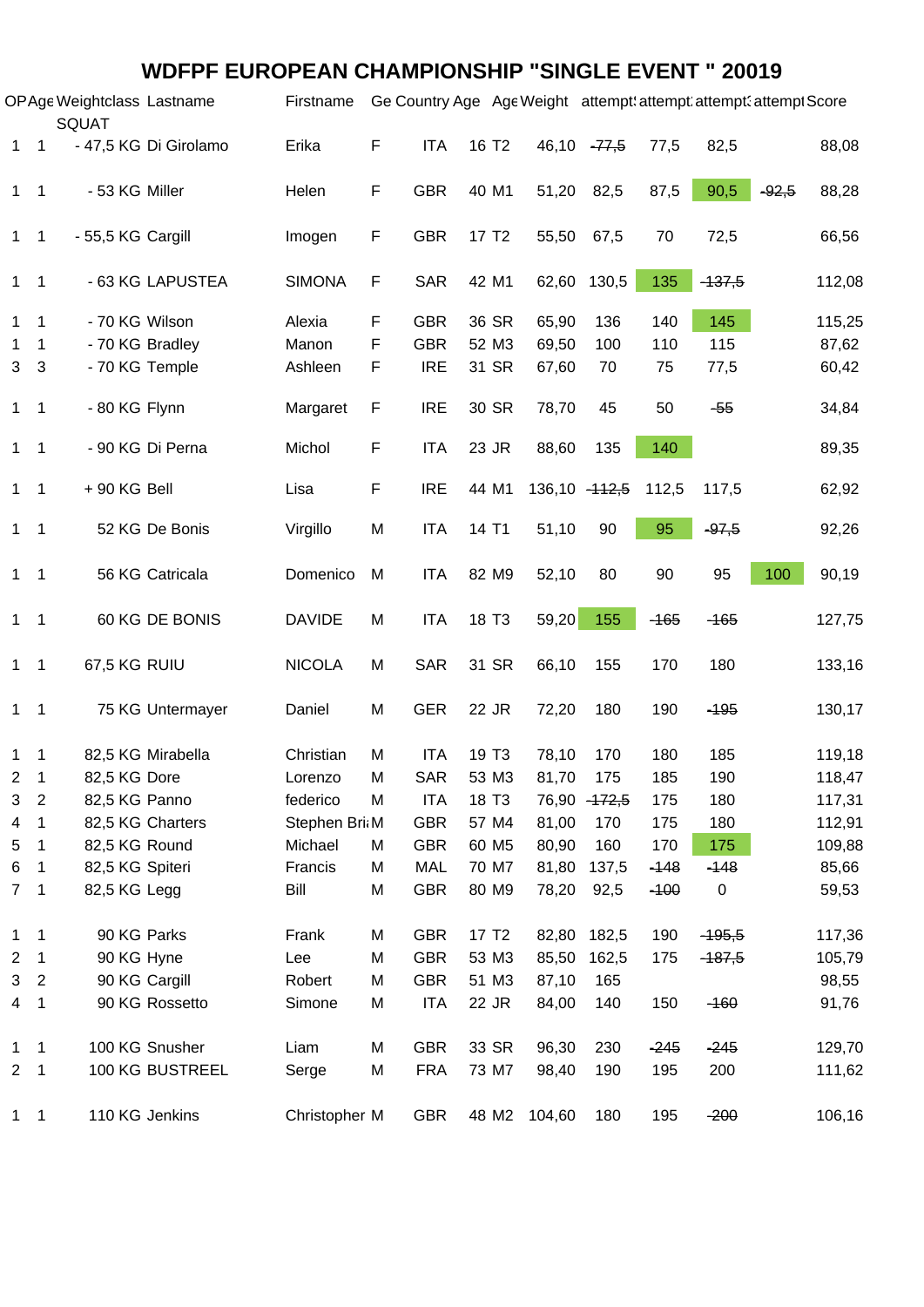#### **WDFPF EUROPEAN CHAMPIONSHIP "SINGLE EVENT " 20019**

|              |                            | OPAge Weightclass Lastname<br>SQUAT |                       | Firstname     |   | Ge Country Age Age Weight attempt: attempt: attempt: attempt Score |                   |              |                      |        |             |         |        |
|--------------|----------------------------|-------------------------------------|-----------------------|---------------|---|--------------------------------------------------------------------|-------------------|--------------|----------------------|--------|-------------|---------|--------|
|              | $1 \quad 1$                |                                     | - 47,5 KG Di Girolamo | Erika         | F | <b>ITA</b>                                                         | 16 T <sub>2</sub> |              | 46,10 - 77,5         | 77,5   | 82,5        |         | 88,08  |
|              | $1 \quad 1$                | - 53 KG Miller                      |                       | Helen         | F | <b>GBR</b>                                                         | 40 M1             |              | 51,20 82,5           | 87,5   | 90,5        | $-92,5$ | 88,28  |
|              | $1 \quad 1$                | - 55,5 KG Cargill                   |                       | Imogen        | F | <b>GBR</b>                                                         | 17 T <sub>2</sub> |              | 55,50 67,5           | 70     | 72,5        |         | 66,56  |
|              | $1 \quad 1$                |                                     | - 63 KG LAPUSTEA      | <b>SIMONA</b> | F | <b>SAR</b>                                                         | 42 M1             |              | 62,60 130,5          | 135    | $-137,5$    |         | 112,08 |
| 1            | $\overline{\mathbf{1}}$    | - 70 KG Wilson                      |                       | Alexia        | F | <b>GBR</b>                                                         | 36 SR             | 65,90        | 136                  | 140    | 145         |         | 115,25 |
| 1            | -1                         |                                     | - 70 KG Bradley       | Manon         | F | <b>GBR</b>                                                         | 52 M3             | 69,50        | 100                  | 110    | 115         |         | 87,62  |
| 3            | $\overline{\mathbf{3}}$    |                                     | - 70 KG Temple        | Ashleen       | F | <b>IRE</b>                                                         | 31 SR             | 67,60        | 70                   | 75     | 77,5        |         | 60,42  |
|              | $1 \quad 1$                | - 80 KG Flynn                       |                       | Margaret      | F | <b>IRE</b>                                                         | 30 SR             | 78,70        | 45                   | 50     | $-55$       |         | 34,84  |
|              | $1 \quad 1$                |                                     | - 90 KG Di Perna      | Michol        | F | <b>ITA</b>                                                         | 23 JR             | 88,60        | 135                  | 140    |             |         | 89,35  |
|              | $1 \quad 1$                | $+90$ KG Bell                       |                       | Lisa          | F | <b>IRE</b>                                                         | 44 M1             |              | 136,10 - 112,5 112,5 |        | 117,5       |         | 62,92  |
|              | $1 \quad 1$                |                                     | 52 KG De Bonis        | Virgillo      | M | <b>ITA</b>                                                         | 14 T1             | 51,10        | 90                   | 95     | $-97,5$     |         | 92,26  |
|              | $1 \quad 1$                |                                     | 56 KG Catricala       | Domenico      | M | <b>ITA</b>                                                         | 82 M9             | 52,10        | 80                   | 90     | 95          | 100     | 90,19  |
|              | $1 \quad 1$                |                                     | 60 KG DE BONIS        | <b>DAVIDE</b> | M | <b>ITA</b>                                                         | 18 T <sub>3</sub> | 59,20        | 155                  | $-165$ | $-165$      |         | 127,75 |
|              | $1 \quad 1$                | 67,5 KG RUIU                        |                       | <b>NICOLA</b> | M | <b>SAR</b>                                                         | 31 SR             | 66,10        | 155                  | 170    | 180         |         | 133,16 |
|              | $1 \quad 1$                |                                     | 75 KG Untermayer      | Daniel        | M | <b>GER</b>                                                         | 22 JR             | 72,20        | 180                  | 190    | $-195$      |         | 130,17 |
| 1            | - 1                        |                                     | 82,5 KG Mirabella     | Christian     | M | <b>ITA</b>                                                         | 19 T <sub>3</sub> | 78,10        | 170                  | 180    | 185         |         | 119,18 |
| 2            | $\overline{1}$             | 82,5 KG Dore                        |                       | Lorenzo       | M | SAR                                                                | 53 M3             | 81,70        | 175                  | 185    | 190         |         | 118,47 |
| 3            | $\overline{2}$             | 82,5 KG Panno                       |                       | federico      | M | ITA                                                                | 18 T <sub>3</sub> |              | 76,90 - 172,5        | 175    | 180         |         | 117,31 |
| 4            | -1                         |                                     | 82,5 KG Charters      | Stephen Bri M |   | <b>GBR</b>                                                         | 57 M4             | 81,00        | 170                  | 175    | 180         |         | 112,91 |
| 5            | $\overline{1}$             | 82,5 KG Round                       |                       | Michael       | M | <b>GBR</b>                                                         | 60 M <sub>5</sub> | 80,90        | 160                  | 170    | 175         |         | 109,88 |
| 6            | - 1                        | 82,5 KG Spiteri                     |                       | Francis       | M | MAL                                                                | 70 M7             | 81,80        | 137,5                | $-148$ | $-148$      |         | 85,66  |
|              | 7 <sub>1</sub>             | 82,5 KG Legg                        |                       | Bill          | M | <b>GBR</b>                                                         | 80 M9             | 78,20        | 92,5                 | $-100$ | $\mathbf 0$ |         | 59,53  |
| 1            | $\overline{1}$             | 90 KG Parks                         |                       | Frank         | M | <b>GBR</b>                                                         | 17 T <sub>2</sub> |              | 82,80 182,5          | 190    | $-195,5$    |         | 117,36 |
| 2            | $\overline{1}$             | 90 KG Hyne                          |                       | Lee           | M | <b>GBR</b>                                                         | 53 M3             |              | 85,50 162,5          | 175    | $-187,5$    |         | 105,79 |
|              | 3 <sub>2</sub>             |                                     | 90 KG Cargill         | Robert        | M | <b>GBR</b>                                                         | 51 M3             | 87,10        | 165                  |        |             |         | 98,55  |
|              | 4 1                        |                                     | 90 KG Rossetto        | Simone        | М | <b>ITA</b>                                                         | 22 JR             | 84,00        | 140                  | 150    | $-160$      |         | 91,76  |
| $\mathbf{1}$ | $\overline{\phantom{0}}$ 1 |                                     | 100 KG Snusher        | Liam          | M | <b>GBR</b>                                                         | 33 SR             | 96,30        | 230                  | $-245$ | $-245$      |         | 129,70 |
|              | 2 <sub>1</sub>             |                                     | 100 KG BUSTREEL       | Serge         | М | <b>FRA</b>                                                         | 73 M7             | 98,40        | 190                  | 195    | 200         |         | 111,62 |
|              | $1 \quad 1$                |                                     | 110 KG Jenkins        | Christopher M |   | GBR                                                                |                   | 48 M2 104,60 | 180                  | 195    | $-200$      |         | 106,16 |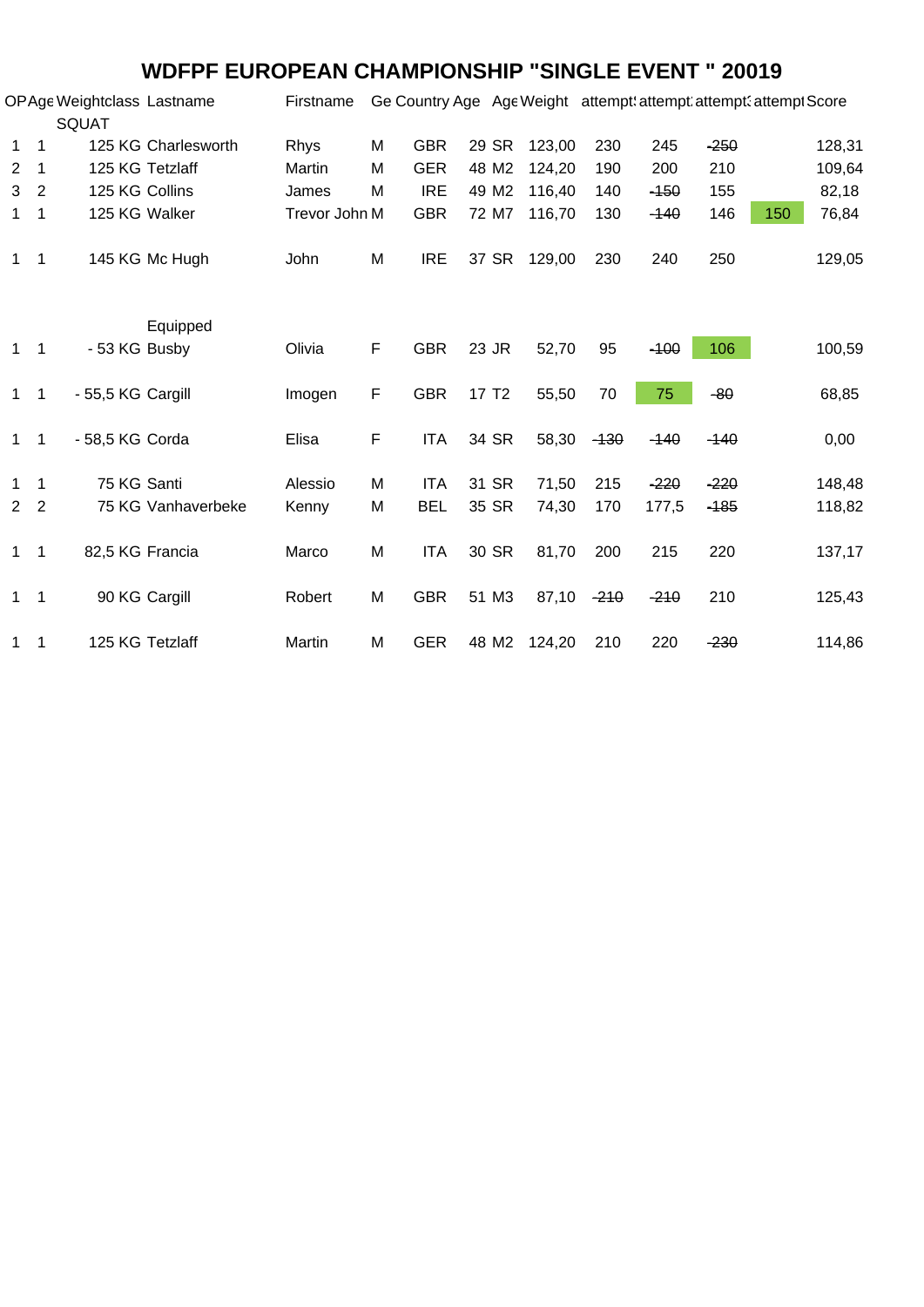### **WDFPF EUROPEAN CHAMPIONSHIP "SINGLE EVENT " 20019**

|                |                          | OP Age Weightclass Lastname<br><b>SQUAT</b> |                     | Firstname     |   | Ge Country Age Age Weight attempt: attempt: attempt: attempt Score |                   |              |        |        |        |     |        |
|----------------|--------------------------|---------------------------------------------|---------------------|---------------|---|--------------------------------------------------------------------|-------------------|--------------|--------|--------|--------|-----|--------|
| 1              | $\overline{1}$           |                                             | 125 KG Charlesworth | Rhys          | M | <b>GBR</b>                                                         | 29 SR             | 123,00       | 230    | 245    | $-250$ |     | 128,31 |
| 2              | - 1                      | 125 KG Tetzlaff                             |                     | Martin        | M | <b>GER</b>                                                         | 48 M2             | 124,20       | 190    | 200    | 210    |     | 109,64 |
| 3              | $\overline{2}$           | 125 KG Collins                              |                     | James         | M | <b>IRE</b>                                                         | 49 M2             | 116,40       | 140    | $-150$ | 155    |     | 82,18  |
| 1              | $\overline{\phantom{1}}$ | 125 KG Walker                               |                     | Trevor John M |   | <b>GBR</b>                                                         | 72 M7             | 116,70       | 130    | $-140$ | 146    | 150 | 76,84  |
| $1 \quad 1$    |                          |                                             | 145 KG Mc Hugh      | John          | M | <b>IRE</b>                                                         |                   | 37 SR 129,00 | 230    | 240    | 250    |     | 129,05 |
|                |                          |                                             | Equipped            |               |   |                                                                    |                   |              |        |        |        |     |        |
| $1 \quad 1$    |                          | - 53 KG Busby                               |                     | Olivia        | F | <b>GBR</b>                                                         | 23 JR             | 52,70        | 95     | $-100$ | 106    |     | 100,59 |
| $1 \quad 1$    |                          | - 55,5 KG Cargill                           |                     | Imogen        | F | <b>GBR</b>                                                         | 17 T <sub>2</sub> | 55,50        | 70     | 75     | $-80$  |     | 68,85  |
| $1 \quad 1$    |                          | - 58,5 KG Corda                             |                     | Elisa         | F | <b>ITA</b>                                                         | 34 SR             | 58,30        | $-130$ | $-140$ | $-140$ |     | 0,00   |
| $\mathbf{1}$   | $\overline{1}$           | 75 KG Santi                                 |                     | Alessio       | M | <b>ITA</b>                                                         | 31 SR             | 71,50        | 215    | $-220$ | $-220$ |     | 148,48 |
| 2 <sub>2</sub> |                          |                                             | 75 KG Vanhaverbeke  | Kenny         | M | <b>BEL</b>                                                         | 35 SR             | 74,30        | 170    | 177,5  | $-185$ |     | 118,82 |
| $1 \quad 1$    |                          | 82,5 KG Francia                             |                     | Marco         | M | <b>ITA</b>                                                         | 30 SR             | 81,70        | 200    | 215    | 220    |     | 137,17 |
| $1 \quad 1$    |                          | 90 KG Cargill                               |                     | Robert        | M | <b>GBR</b>                                                         | 51 M3             | 87,10        | $-210$ | $-210$ | 210    |     | 125,43 |
| 1              | $\overline{1}$           | 125 KG Tetzlaff                             |                     | Martin        | M | <b>GER</b>                                                         |                   | 48 M2 124,20 | 210    | 220    | $-230$ |     | 114,86 |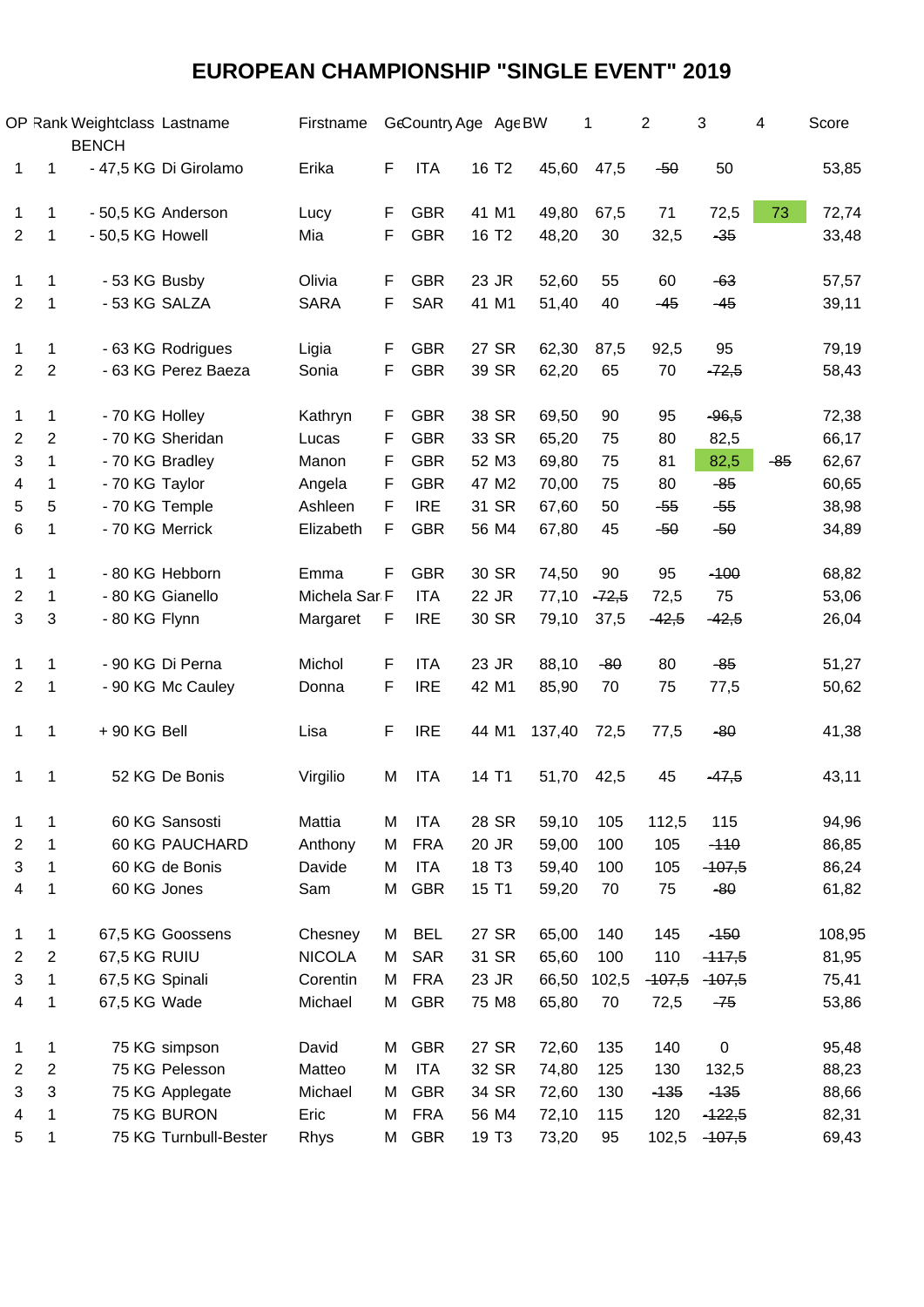# **EUROPEAN CHAMPIONSHIP "SINGLE EVENT" 2019**

|                         |                | OP Rank Weightclass Lastname<br><b>BENCH</b> |                       | Firstname     |    | GeCountry Age Age BW |                   |                   |        | 1       | 2        | 3         | 4     | Score  |  |
|-------------------------|----------------|----------------------------------------------|-----------------------|---------------|----|----------------------|-------------------|-------------------|--------|---------|----------|-----------|-------|--------|--|
| 1                       | 1              |                                              | - 47,5 KG Di Girolamo | Erika         | F  | <b>ITA</b>           | 16 T <sub>2</sub> |                   | 45,60  | 47,5    | $-50$    | 50        |       | 53,85  |  |
| 1                       | 1              |                                              | - 50,5 KG Anderson    | Lucy          | F  | <b>GBR</b>           |                   | 41 M1             | 49,80  | 67,5    | 71       | 72,5      | 73    | 72,74  |  |
| $\overline{2}$          | 1              | - 50,5 KG Howell                             |                       | Mia           | F  | <b>GBR</b>           | 16 T <sub>2</sub> |                   | 48,20  | 30      | 32,5     | $-35$     |       | 33,48  |  |
|                         |                |                                              |                       |               |    |                      |                   |                   |        |         |          |           |       |        |  |
| 1                       | 1              | - 53 KG Busby                                |                       | Olivia        | F  | <b>GBR</b>           |                   | 23 JR             | 52,60  | 55      | 60       | $-63$     |       | 57,57  |  |
| $\overline{2}$          | 1              | - 53 KG SALZA                                |                       | <b>SARA</b>   | F. | <b>SAR</b>           |                   | 41 M1             | 51,40  | 40      | $-45$    | $-45$     |       | 39,11  |  |
| 1                       | 1              |                                              | - 63 KG Rodrigues     | Ligia         | F  | <b>GBR</b>           |                   | 27 SR             | 62,30  | 87,5    | 92,5     | 95        |       | 79,19  |  |
| $\overline{2}$          | $\overline{2}$ |                                              | - 63 KG Perez Baeza   | Sonia         | F  | <b>GBR</b>           |                   | 39 SR             | 62,20  | 65      | 70       | $-72,5$   |       | 58,43  |  |
|                         |                |                                              |                       |               |    |                      |                   |                   |        |         |          |           |       |        |  |
| 1                       | 1              | - 70 KG Holley                               |                       | Kathryn       | F. | <b>GBR</b>           |                   | 38 SR             | 69,50  | 90      | 95       | $-96,5$   |       | 72,38  |  |
| $\overline{\mathbf{c}}$ | $\overline{c}$ |                                              | - 70 KG Sheridan      | Lucas         | F  | <b>GBR</b>           |                   | 33 SR             | 65,20  | 75      | 80       | 82,5      |       | 66,17  |  |
| 3                       | 1              | - 70 KG Bradley                              |                       | Manon         | F  | <b>GBR</b>           |                   | 52 M3             | 69,80  | 75      | 81       | 82,5      | $-85$ | 62,67  |  |
| 4                       | 1              | - 70 KG Taylor                               |                       | Angela        | F  | <b>GBR</b>           |                   | 47 M2             | 70,00  | 75      | 80       | $-85$     |       | 60,65  |  |
| 5                       | 5              | - 70 KG Temple                               |                       | Ashleen       | F  | <b>IRE</b>           |                   | 31 SR             | 67,60  | 50      | $-55$    | $-55$     |       | 38,98  |  |
| 6                       | 1              | - 70 KG Merrick                              |                       | Elizabeth     | F. | <b>GBR</b>           |                   | 56 M4             | 67,80  | 45      | $-50$    | $-50$     |       | 34,89  |  |
|                         |                |                                              |                       |               |    |                      |                   |                   |        |         |          |           |       |        |  |
| 1                       | 1              |                                              | - 80 KG Hebborn       | Emma          | F  | <b>GBR</b>           |                   | 30 SR             | 74,50  | 90      | 95       | $-100$    |       | 68,82  |  |
| 2                       | 1              |                                              | - 80 KG Gianello      | Michela Sar F |    | <b>ITA</b>           |                   | 22 JR             | 77,10  | $-72,5$ | 72,5     | 75        |       | 53,06  |  |
| 3                       | 3              | - 80 KG Flynn                                |                       | Margaret      | F  | <b>IRE</b>           |                   | 30 SR             | 79,10  | 37,5    | $-42,5$  | $-42,5$   |       | 26,04  |  |
|                         |                |                                              |                       |               |    |                      |                   |                   |        |         |          |           |       |        |  |
| 1                       | 1              |                                              | - 90 KG Di Perna      | Michol        | F  | <b>ITA</b>           |                   | 23 JR             | 88,10  | $-80$   | 80       | $-85$     |       | 51,27  |  |
| $\overline{2}$          | 1              |                                              | - 90 KG Mc Cauley     | Donna         | F  | <b>IRE</b>           |                   | 42 M1             | 85,90  | 70      | 75       | 77,5      |       | 50,62  |  |
| 1                       | 1              | $+90$ KG Bell                                |                       | Lisa          | F  | <b>IRE</b>           |                   | 44 M1             | 137,40 | 72,5    | 77,5     | $-80$     |       | 41,38  |  |
| 1                       | 1              |                                              | 52 KG De Bonis        | Virgilio      | M  | <b>ITA</b>           | 14 T1             |                   | 51,70  | 42,5    | 45       | $-47,5$   |       | 43,11  |  |
|                         |                |                                              |                       |               |    |                      |                   |                   |        |         |          |           |       |        |  |
| 1                       | 1              |                                              | 60 KG Sansosti        | Mattia        | M  | <b>ITA</b>           |                   | 28 SR             | 59,10  | 105     | 112,5    | 115       |       | 94,96  |  |
| $\overline{2}$          | 1              |                                              | <b>60 KG PAUCHARD</b> | Anthony       | M  | <b>FRA</b>           |                   | 20 JR             | 59,00  | 100     | 105      | $-110$    |       | 86,85  |  |
| 3                       | 1              |                                              | 60 KG de Bonis        | Davide        | M  | <b>ITA</b>           | 18 T <sub>3</sub> |                   | 59,40  | 100     | 105      | $-407,5$  |       | 86,24  |  |
| 4                       | 1              | 60 KG Jones                                  |                       | Sam           | M  | <b>GBR</b>           | 15 T1             |                   | 59,20  | 70      | 75       | $-80$     |       | 61,82  |  |
| 1                       | 1              |                                              | 67,5 KG Goossens      | Chesney       | M  | <b>BEL</b>           |                   | 27 SR             | 65,00  | 140     | 145      | $-150$    |       | 108,95 |  |
| $\overline{2}$          | $\overline{2}$ | 67,5 KG RUIU                                 |                       | <b>NICOLA</b> | M  | <b>SAR</b>           |                   | 31 SR             | 65,60  | 100     | 110      | $-417,5$  |       | 81,95  |  |
| 3                       | 1              | 67,5 KG Spinali                              |                       | Corentin      | M  | <b>FRA</b>           |                   | 23 JR             | 66,50  | 102,5   | $-107,5$ | $-407,5$  |       | 75,41  |  |
| 4                       | 1              | 67,5 KG Wade                                 |                       | Michael       | M  | <b>GBR</b>           |                   | 75 M8             | 65,80  | 70      | 72,5     | $-75$     |       | 53,86  |  |
|                         |                |                                              |                       |               |    |                      |                   |                   |        |         |          |           |       |        |  |
| $\mathbf 1$             | 1              |                                              | 75 KG simpson         | David         | M  | <b>GBR</b>           |                   | 27 SR             | 72,60  | 135     | 140      | $\pmb{0}$ |       | 95,48  |  |
| $\overline{2}$          | $\overline{2}$ |                                              | 75 KG Pelesson        | Matteo        | M  | <b>ITA</b>           |                   | 32 SR             | 74,80  | 125     | 130      | 132,5     |       | 88,23  |  |
| 3                       | 3              |                                              | 75 KG Applegate       | Michael       | M  | <b>GBR</b>           |                   | 34 SR             | 72,60  | 130     | $-135$   | $-135$    |       | 88,66  |  |
| 4                       | 1              |                                              | 75 KG BURON           | Eric          | Μ  | <b>FRA</b>           |                   | 56 M4             | 72,10  | 115     | 120      | $-122,5$  |       | 82,31  |  |
| 5                       | 1              |                                              | 75 KG Turnbull-Bester | Rhys          | M  | <b>GBR</b>           |                   | 19 T <sub>3</sub> | 73,20  | 95      | 102,5    | $-107,5$  |       | 69,43  |  |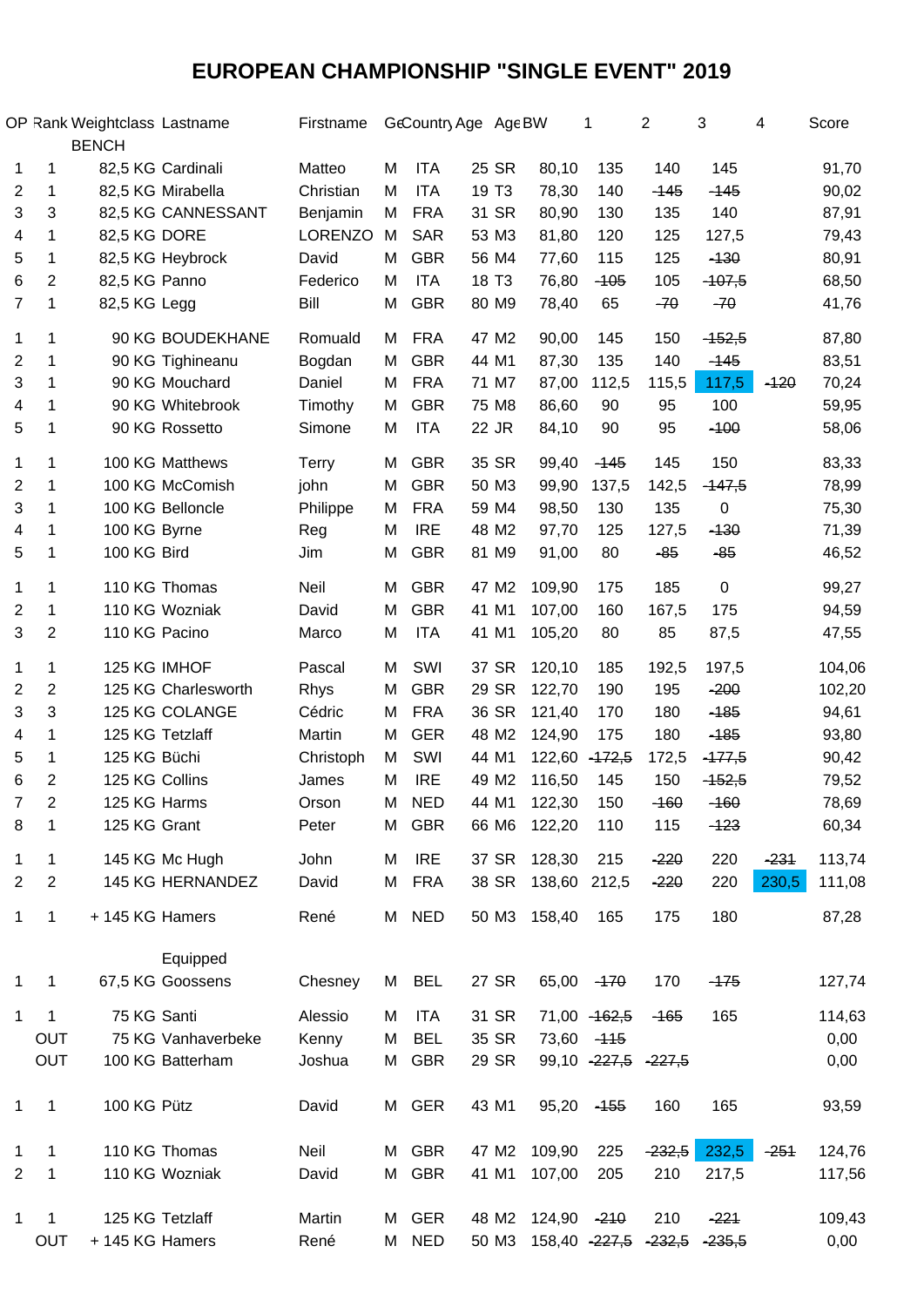# **EUROPEAN CHAMPIONSHIP "SINGLE EVENT" 2019**

|                |                | OP Rank Weightclass Lastname<br><b>BENCH</b> |                     | Firstname      |   | GeCountry Age Age BW |                   |                                | 1             | 2                     | 3         | 4      | Score  |
|----------------|----------------|----------------------------------------------|---------------------|----------------|---|----------------------|-------------------|--------------------------------|---------------|-----------------------|-----------|--------|--------|
| 1              | 1              |                                              | 82,5 KG Cardinali   | Matteo         | M | <b>ITA</b>           | 25 SR             | 80,10                          | 135           | 140                   | 145       |        | 91,70  |
| $\overline{2}$ | $\mathbf 1$    |                                              | 82,5 KG Mirabella   | Christian      | м | <b>ITA</b>           | 19 T <sub>3</sub> | 78,30                          | 140           | $-145$                | $-145$    |        | 90,02  |
| 3              | 3              |                                              | 82,5 KG CANNESSANT  | Benjamin       | M | <b>FRA</b>           | 31 SR             | 80,90                          | 130           | 135                   | 140       |        | 87,91  |
| 4              | 1              | 82,5 KG DORE                                 |                     | <b>LORENZO</b> | M | <b>SAR</b>           | 53 M3             | 81,80                          | 120           | 125                   | 127,5     |        | 79,43  |
| 5              | 1              |                                              | 82,5 KG Heybrock    | David          | М | <b>GBR</b>           | 56 M4             | 77,60                          | 115           | 125                   | $-130$    |        | 80,91  |
| 6              | $\overline{c}$ | 82,5 KG Panno                                |                     | Federico       | M | <b>ITA</b>           | 18 T <sub>3</sub> | 76,80                          | $-105$        | 105                   | $-107,5$  |        | 68,50  |
| $\overline{7}$ | 1              | 82,5 KG Legg                                 |                     | Bill           | M | <b>GBR</b>           | 80 M9             | 78,40                          | 65            | $-70$                 | $-70$     |        | 41,76  |
| 1              | 1              |                                              | 90 KG BOUDEKHANE    | Romuald        | M | <b>FRA</b>           | 47 M2             | 90,00                          | 145           | 150                   | $-152,5$  |        | 87,80  |
| $\overline{2}$ | 1              |                                              | 90 KG Tighineanu    | Bogdan         | M | <b>GBR</b>           | 44 M1             | 87,30                          | 135           | 140                   | $-145$    |        | 83,51  |
| 3              | 1              |                                              | 90 KG Mouchard      | Daniel         | М | <b>FRA</b>           | 71 M7             | 87,00                          | 112,5         | 115,5                 | 117,5     | $-120$ | 70,24  |
| 4              | 1              |                                              | 90 KG Whitebrook    | Timothy        | М | <b>GBR</b>           | 75 M8             | 86,60                          | 90            | 95                    | 100       |        | 59,95  |
| 5              | 1              |                                              | 90 KG Rossetto      | Simone         | M | <b>ITA</b>           | 22 JR             | 84,10                          | 90            | 95                    | $-100$    |        | 58,06  |
| 1              | 1              |                                              | 100 KG Matthews     | <b>Terry</b>   | M | <b>GBR</b>           | 35 SR             | 99,40                          | $-145$        | 145                   | 150       |        | 83,33  |
| $\overline{2}$ | 1              |                                              | 100 KG McComish     | john           | М | <b>GBR</b>           | 50 M3             | 99,90                          | 137,5         | 142,5                 | $-147,5$  |        | 78,99  |
| 3              | 1              |                                              | 100 KG Belloncle    | Philippe       | М | <b>FRA</b>           | 59 M4             | 98,50                          | 130           | 135                   | 0         |        | 75,30  |
| 4              | 1              | 100 KG Byrne                                 |                     | Reg            | M | <b>IRE</b>           | 48 M2             | 97,70                          | 125           | 127,5                 | $-130$    |        | 71,39  |
| 5              | 1              | 100 KG Bird                                  |                     | Jim            | M | <b>GBR</b>           | 81 M9             | 91,00                          | 80            | $-85$                 | $-85$     |        | 46,52  |
| 1              | 1              |                                              | 110 KG Thomas       | Neil           | М | <b>GBR</b>           | 47 M2             | 109,90                         | 175           | 185                   | $\pmb{0}$ |        | 99,27  |
| 2              | 1              |                                              | 110 KG Wozniak      | David          | M | <b>GBR</b>           | 41 M1             | 107,00                         | 160           | 167,5                 | 175       |        | 94,59  |
| 3              | $\overline{c}$ | 110 KG Pacino                                |                     | Marco          | M | <b>ITA</b>           | 41 M1             | 105,20                         | 80            | 85                    | 87,5      |        | 47,55  |
| 1              | 1              | 125 KG IMHOF                                 |                     | Pascal         | M | SWI                  | 37 SR             | 120,10                         | 185           | 192,5                 | 197,5     |        | 104,06 |
| $\overline{c}$ | 2              |                                              | 125 KG Charlesworth | Rhys           | М | <b>GBR</b>           | 29 SR             | 122,70                         | 190           | 195                   | $-200$    |        | 102,20 |
| 3              | 3              |                                              | 125 KG COLANGE      | Cédric         | М | <b>FRA</b>           | 36 SR             | 121,40                         | 170           | 180                   | $-185$    |        | 94,61  |
| 4              | 1              |                                              | 125 KG Tetzlaff     | Martin         | M | <b>GER</b>           | 48 M2             | 124,90                         | 175           | 180                   | $-185$    |        | 93,80  |
| 5              | 1              | 125 KG Büchi                                 |                     | Christoph      | М | SWI                  | 44 M1             | 122,60                         | $-172,5$      | 172,5                 | $-477,5$  |        | 90,42  |
| 6              | $\overline{c}$ | 125 KG Collins                               |                     | James          | М | <b>IRE</b>           | 49 M2             | 116,50                         | 145           | 150                   | $-152,5$  |        | 79,52  |
| $\overline{7}$ | 2              | 125 KG Harms                                 |                     | Orson          | M | <b>NED</b>           | 44 M1             | 122,30                         | 150           | $-160$                | $-160$    |        | 78,69  |
| 8              | 1              | 125 KG Grant                                 |                     | Peter          | M | <b>GBR</b>           | 66 M6             | 122,20                         | 110           | 115                   | $-123$    |        | 60,34  |
| 1              | $\mathbf 1$    |                                              | 145 KG Mc Hugh      | John           | M | <b>IRE</b>           |                   | 37 SR 128,30                   | 215           | $-220$                | 220       | $-231$ | 113,74 |
| $\overline{2}$ | $\overline{c}$ |                                              | 145 KG HERNANDEZ    | David          | M | <b>FRA</b>           |                   | 38 SR 138,60 212,5             |               | $-220$                | 220       | 230,5  | 111,08 |
| 1              | 1              | + 145 KG Hamers                              |                     | René           |   | M NED                |                   | 50 M3 158,40                   | 165           | 175                   | 180       |        | 87,28  |
|                |                |                                              | Equipped            |                |   |                      |                   |                                |               |                       |           |        |        |
| $\mathbf{1}$   | 1              |                                              | 67,5 KG Goossens    | Chesney        | M | <b>BEL</b>           | 27 SR             | 65,00 - 170                    |               | 170                   | $-175$    |        | 127,74 |
| 1              | 1              | 75 KG Santi                                  |                     | Alessio        | М | ITA                  | 31 SR             |                                | 71,00 - 162,5 | <del>-165</del>       | 165       |        | 114,63 |
|                | OUT            |                                              | 75 KG Vanhaverbeke  | Kenny          | M | <b>BEL</b>           | 35 SR             |                                | 73,60 - 145   |                       |           |        | 0,00   |
|                | OUT            |                                              | 100 KG Batterham    | Joshua         | M | <b>GBR</b>           | 29 SR             |                                |               | 99,10 - 227,5 - 227,5 |           |        | 0,00   |
|                |                |                                              |                     |                |   |                      |                   |                                |               |                       |           |        |        |
| $\mathbf{1}$   | 1              | 100 KG Pütz                                  |                     | David          |   | M GER                | 43 M1             | 95,20 - 155                    |               | 160                   | 165       |        | 93,59  |
| 1              | 1              |                                              | 110 KG Thomas       | Neil           | M | <b>GBR</b>           | 47 M2             | 109,90                         | 225           | $-232,5$              | 232,5     | $-251$ | 124,76 |
| $\overline{2}$ | 1              |                                              | 110 KG Wozniak      | David          | M | <b>GBR</b>           | 41 M1             | 107,00                         | 205           | 210                   | 217,5     |        | 117,56 |
| 1              | 1              |                                              | 125 KG Tetzlaff     | Martin         |   | M GER                | 48 M2             | 124,90 - 210                   |               | 210                   | $-221$    |        | 109,43 |
|                | <b>OUT</b>     | + 145 KG Hamers                              |                     | René           |   | M NED                |                   | 50 M3 158,40 227,5 232,5 235,5 |               |                       |           |        | 0,00   |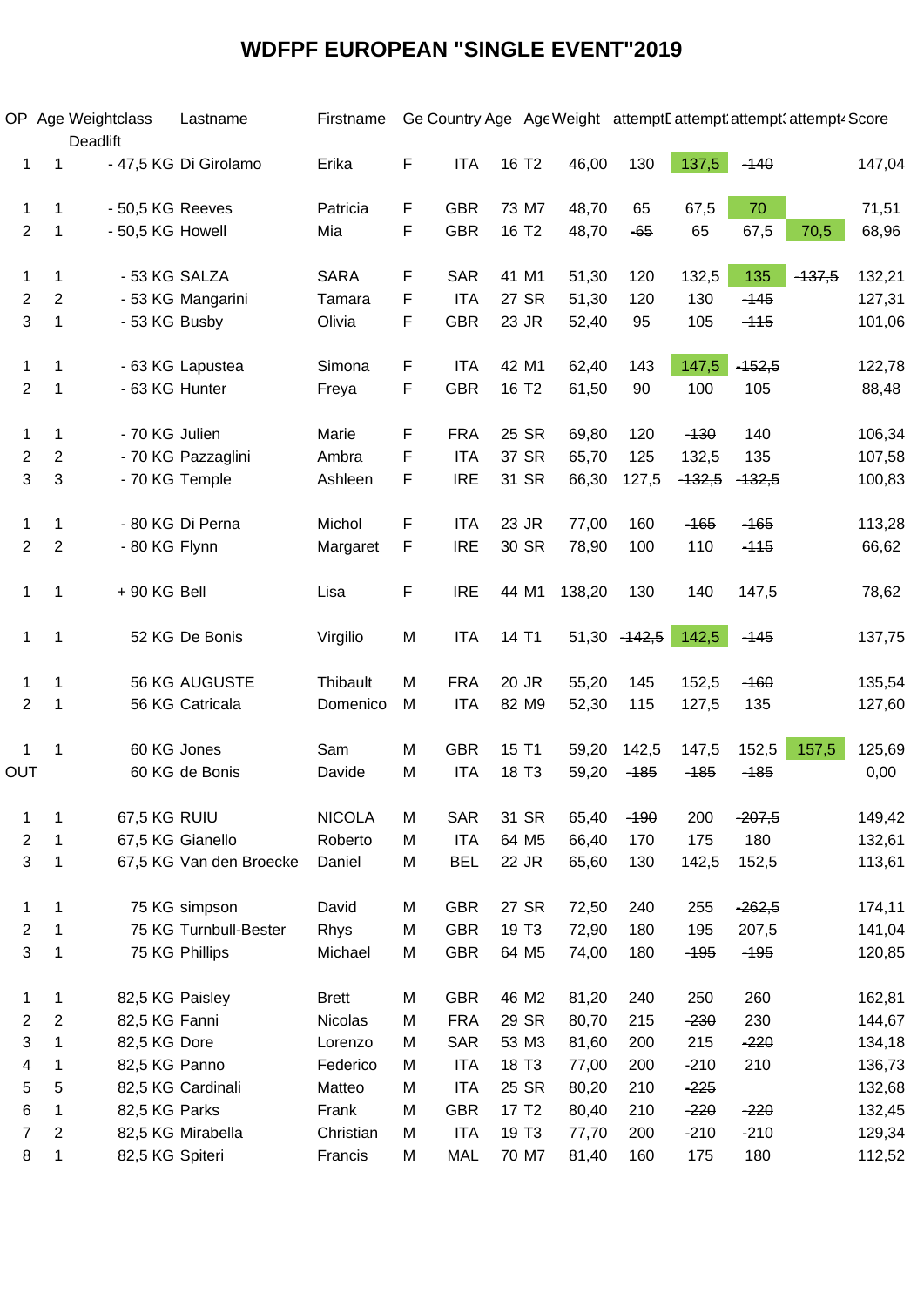### **WDFPF EUROPEAN "SINGLE EVENT"2019**

|                         |                | OP Age Weightclass<br>Deadlift | Lastname                | Firstname     |   |            |                   | Ge Country Age Age Weight attempt Lattempt attempt attempt. Score |          |          |          |          |        |
|-------------------------|----------------|--------------------------------|-------------------------|---------------|---|------------|-------------------|-------------------------------------------------------------------|----------|----------|----------|----------|--------|
| 1                       | 1              |                                | - 47,5 KG Di Girolamo   | Erika         | F | <b>ITA</b> | 16 T <sub>2</sub> | 46,00                                                             | 130      | 137,5    | $-140$   |          | 147,04 |
| 1                       | 1              | - 50,5 KG Reeves               |                         | Patricia      | F | <b>GBR</b> | 73 M7             | 48,70                                                             | 65       | 67,5     | 70       |          | 71,51  |
| $\overline{c}$          | 1              | - 50,5 KG Howell               |                         | Mia           | F | <b>GBR</b> | 16 T <sub>2</sub> | 48,70                                                             | $-65$    | 65       | 67,5     | 70,5     | 68,96  |
|                         |                |                                |                         |               |   |            |                   |                                                                   |          |          |          |          |        |
| 1                       | 1              |                                | - 53 KG SALZA           | <b>SARA</b>   | F | <b>SAR</b> | 41 M1             | 51,30                                                             | 120      | 132,5    | 135      | $-137,5$ | 132,21 |
| $\overline{\mathbf{c}}$ | $\overline{c}$ |                                | - 53 KG Mangarini       | Tamara        | F | <b>ITA</b> | 27 SR             | 51,30                                                             | 120      | 130      | $-145$   |          | 127,31 |
| 3                       | 1              | - 53 KG Busby                  |                         | Olivia        | F | <b>GBR</b> | 23 JR             | 52,40                                                             | 95       | 105      | $-115$   |          | 101,06 |
| 1                       | 1              |                                | - 63 KG Lapustea        | Simona        | F | <b>ITA</b> | 42 M1             | 62,40                                                             | 143      | 147,5    | $-152,5$ |          | 122,78 |
| $\overline{c}$          | 1              |                                | - 63 KG Hunter          | Freya         | F | <b>GBR</b> | 16 T <sub>2</sub> | 61,50                                                             | 90       | 100      | 105      |          | 88,48  |
|                         |                |                                |                         |               |   |            |                   |                                                                   |          |          |          |          |        |
| 1                       | 1              | - 70 KG Julien                 |                         | Marie         | F | <b>FRA</b> | 25 SR             | 69,80                                                             | 120      | $-130$   | 140      |          | 106,34 |
| 2                       | $\overline{c}$ |                                | - 70 KG Pazzaglini      | Ambra         | F | <b>ITA</b> | 37 SR             | 65,70                                                             | 125      | 132,5    | 135      |          | 107,58 |
| 3                       | 3              |                                | - 70 KG Temple          | Ashleen       | F | <b>IRE</b> | 31 SR             | 66,30                                                             | 127,5    | $-132,5$ | $-132,5$ |          | 100,83 |
| 1                       | 1              |                                | - 80 KG Di Perna        | Michol        | F | <b>ITA</b> | 23 JR             | 77,00                                                             | 160      | $-165$   | $-165$   |          | 113,28 |
| $\overline{c}$          | $\overline{c}$ | - 80 KG Flynn                  |                         | Margaret      | F | <b>IRE</b> | 30 SR             | 78,90                                                             | 100      | 110      | $-115$   |          | 66,62  |
|                         |                |                                |                         |               |   |            |                   |                                                                   |          |          |          |          |        |
| 1                       | 1              | + 90 KG Bell                   |                         | Lisa          | F | <b>IRE</b> | 44 M1             | 138,20                                                            | 130      | 140      | 147,5    |          | 78,62  |
| 1                       | 1              |                                | 52 KG De Bonis          | Virgilio      | M | <b>ITA</b> | 14 T1             | 51,30                                                             | $-142,5$ | 142,5    | $-145$   |          | 137,75 |
| 1                       | 1              |                                | 56 KG AUGUSTE           | Thibault      | M | <b>FRA</b> | 20 JR             | 55,20                                                             | 145      | 152,5    | $-160$   |          | 135,54 |
| $\overline{c}$          | 1              |                                | 56 KG Catricala         | Domenico      | M | <b>ITA</b> | 82 M9             | 52,30                                                             | 115      | 127,5    | 135      |          | 127,60 |
|                         |                |                                |                         |               |   |            |                   |                                                                   |          |          |          |          |        |
| 1                       | 1              |                                | 60 KG Jones             | Sam           | M | <b>GBR</b> | 15 T1             | 59,20                                                             | 142,5    | 147,5    | 152,5    | 157,5    | 125,69 |
| OUT                     |                |                                | 60 KG de Bonis          | Davide        | M | <b>ITA</b> | 18 T <sub>3</sub> | 59,20                                                             | $-185$   | $-185$   | $-185$   |          | 0,00   |
|                         |                |                                |                         |               |   |            |                   |                                                                   |          |          |          |          |        |
| 1                       | 1              | 67,5 KG RUIU                   |                         | <b>NICOLA</b> | M | <b>SAR</b> | 31 SR             | 65,40                                                             | $-190$   | 200      | $-207,5$ |          | 149,42 |
| 2                       | 1              |                                | 67,5 KG Gianello        | Roberto       | M | <b>ITA</b> | 64 M <sub>5</sub> | 66,40                                                             | 170      | 175      | 180      |          | 132,61 |
| 3                       | 1              |                                | 67,5 KG Van den Broecke | Daniel        | M | <b>BEL</b> | 22 JR             | 65,60                                                             | 130      | 142,5    | 152,5    |          | 113,61 |
| 1                       | 1              |                                | 75 KG simpson           | David         | M | <b>GBR</b> | 27 SR             | 72,50                                                             | 240      | 255      | $-262,5$ |          | 174,11 |
| 2                       | 1              |                                | 75 KG Turnbull-Bester   | Rhys          | M | <b>GBR</b> | 19 T <sub>3</sub> | 72,90                                                             | 180      | 195      | 207,5    |          | 141,04 |
| 3                       | 1              |                                | 75 KG Phillips          | Michael       | M | <b>GBR</b> | 64 M5             | 74,00                                                             | 180      | $-195$   | $-195$   |          | 120,85 |
| 1                       | 1              |                                | 82,5 KG Paisley         | <b>Brett</b>  | M | <b>GBR</b> | 46 M2             | 81,20                                                             | 240      | 250      | 260      |          | 162,81 |
| 2                       | $\overline{c}$ | 82,5 KG Fanni                  |                         | Nicolas       | M | <b>FRA</b> | 29 SR             | 80,70                                                             | 215      | $-230$   | 230      |          | 144,67 |
| 3                       | 1              | 82,5 KG Dore                   |                         | Lorenzo       | M | <b>SAR</b> | 53 M3             | 81,60                                                             | 200      | 215      | $-220$   |          | 134,18 |
| 4                       | 1              | 82,5 KG Panno                  |                         | Federico      | M | <b>ITA</b> | 18 T <sub>3</sub> | 77,00                                                             | 200      | $-210$   | 210      |          | 136,73 |
| 5                       | 5              |                                | 82,5 KG Cardinali       | Matteo        | M | <b>ITA</b> | 25 SR             | 80,20                                                             | 210      | $-225$   |          |          | 132,68 |
| 6                       | 1              | 82,5 KG Parks                  |                         | Frank         | M | <b>GBR</b> | 17 T <sub>2</sub> | 80,40                                                             | 210      | $-220$   | $-220$   |          | 132,45 |
| 7                       | 2              |                                | 82,5 KG Mirabella       | Christian     | M | <b>ITA</b> | 19 T <sub>3</sub> | 77,70                                                             | 200      | $-210$   | $-210$   |          | 129,34 |
| 8                       | 1              | 82,5 KG Spiteri                |                         | Francis       | M | <b>MAL</b> | 70 M7             | 81,40                                                             | 160      | 175      | 180      |          | 112,52 |
|                         |                |                                |                         |               |   |            |                   |                                                                   |          |          |          |          |        |